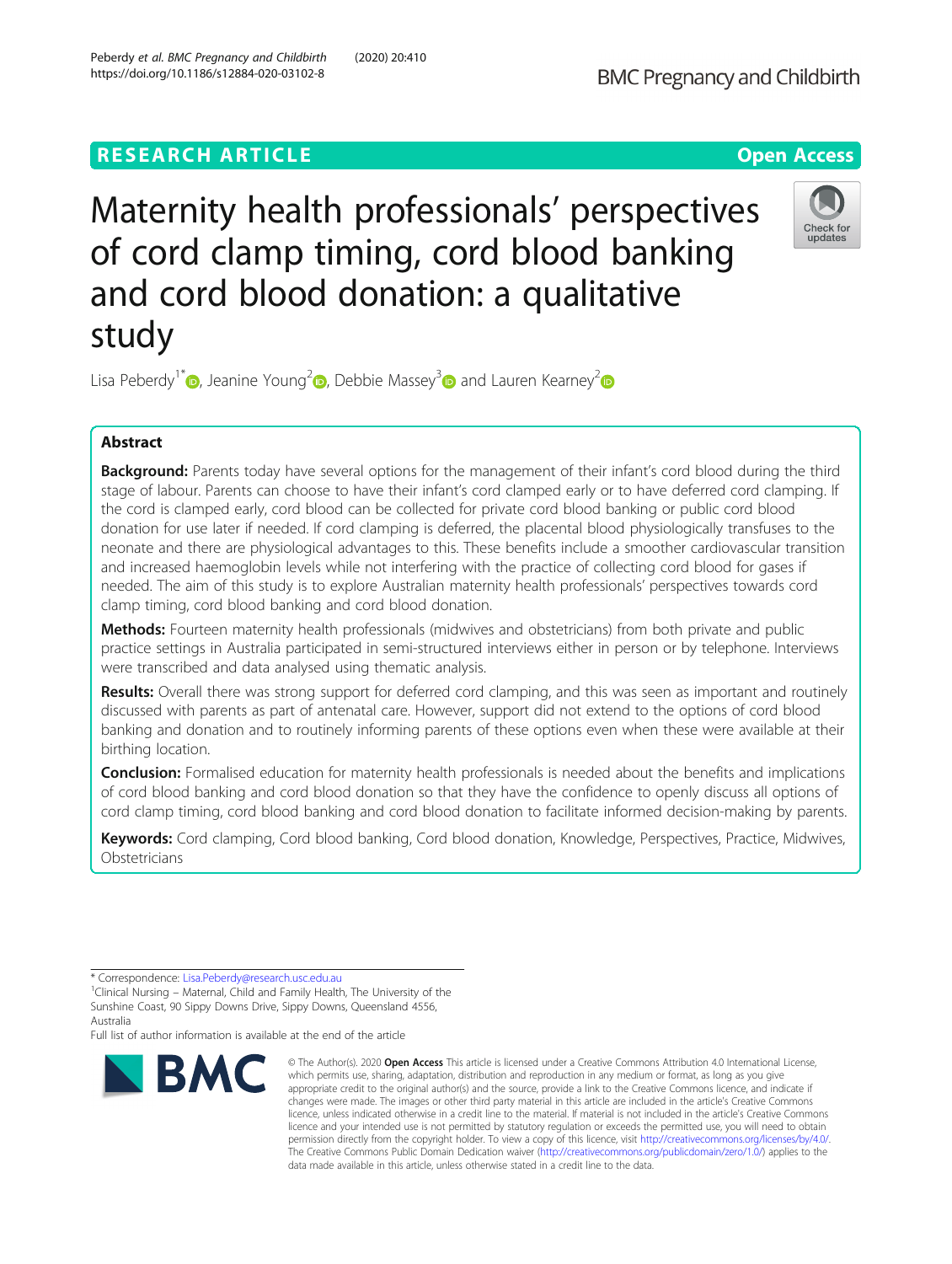# **RESEARCH ARTICLE Example 2014 12:30 The Contract of Contract ACCESS**



# Maternity health professionals' perspectives of cord clamp timing, cord blood banking and cord blood donation: a qualitative study



Lisa Peberdy<sup>1[\\*](http://orcid.org/0000-0002-3167-2219)</sup> [,](https://orcid.org/0000-0003-3849-3392) Jeanine Young<sup>2</sup> , Debbie Massey<sup>3</sup> and Lauren Kearney<sup>2</sup>

# Abstract

Background: Parents today have several options for the management of their infant's cord blood during the third stage of labour. Parents can choose to have their infant's cord clamped early or to have deferred cord clamping. If the cord is clamped early, cord blood can be collected for private cord blood banking or public cord blood donation for use later if needed. If cord clamping is deferred, the placental blood physiologically transfuses to the neonate and there are physiological advantages to this. These benefits include a smoother cardiovascular transition and increased haemoglobin levels while not interfering with the practice of collecting cord blood for gases if needed. The aim of this study is to explore Australian maternity health professionals' perspectives towards cord clamp timing, cord blood banking and cord blood donation.

**Methods:** Fourteen maternity health professionals (midwives and obstetricians) from both private and public practice settings in Australia participated in semi-structured interviews either in person or by telephone. Interviews were transcribed and data analysed using thematic analysis.

Results: Overall there was strong support for deferred cord clamping, and this was seen as important and routinely discussed with parents as part of antenatal care. However, support did not extend to the options of cord blood banking and donation and to routinely informing parents of these options even when these were available at their birthing location.

**Conclusion:** Formalised education for maternity health professionals is needed about the benefits and implications of cord blood banking and cord blood donation so that they have the confidence to openly discuss all options of cord clamp timing, cord blood banking and cord blood donation to facilitate informed decision-making by parents.

Keywords: Cord clamping, Cord blood banking, Cord blood donation, Knowledge, Perspectives, Practice, Midwives, **Obstetricians** 

Full list of author information is available at the end of the article



<sup>©</sup> The Author(s), 2020 **Open Access** This article is licensed under a Creative Commons Attribution 4.0 International License, which permits use, sharing, adaptation, distribution and reproduction in any medium or format, as long as you give appropriate credit to the original author(s) and the source, provide a link to the Creative Commons licence, and indicate if changes were made. The images or other third party material in this article are included in the article's Creative Commons licence, unless indicated otherwise in a credit line to the material. If material is not included in the article's Creative Commons licence and your intended use is not permitted by statutory regulation or exceeds the permitted use, you will need to obtain permission directly from the copyright holder. To view a copy of this licence, visit [http://creativecommons.org/licenses/by/4.0/.](http://creativecommons.org/licenses/by/4.0/) The Creative Commons Public Domain Dedication waiver [\(http://creativecommons.org/publicdomain/zero/1.0/](http://creativecommons.org/publicdomain/zero/1.0/)) applies to the data made available in this article, unless otherwise stated in a credit line to the data.

<sup>\*</sup> Correspondence: [Lisa.Peberdy@research.usc.edu.au](mailto:Lisa.Peberdy@research.usc.edu.au) <sup>1</sup>

<sup>&</sup>lt;sup>1</sup>Clinical Nursing – Maternal, Child and Family Health, The University of the Sunshine Coast, 90 Sippy Downs Drive, Sippy Downs, Queensland 4556, Australia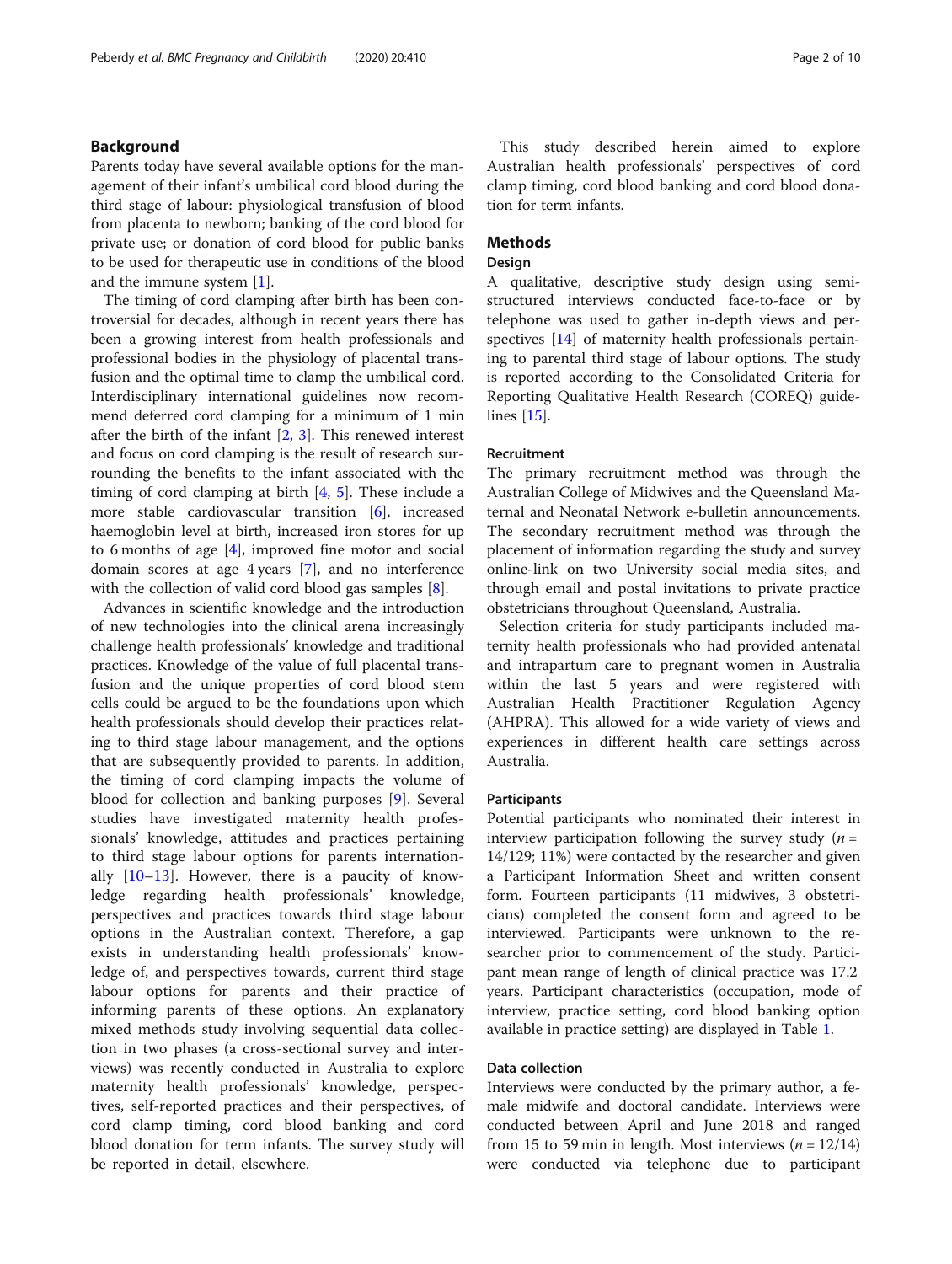# Background

Parents today have several available options for the management of their infant's umbilical cord blood during the third stage of labour: physiological transfusion of blood from placenta to newborn; banking of the cord blood for private use; or donation of cord blood for public banks to be used for therapeutic use in conditions of the blood and the immune system [\[1](#page-8-0)].

The timing of cord clamping after birth has been controversial for decades, although in recent years there has been a growing interest from health professionals and professional bodies in the physiology of placental transfusion and the optimal time to clamp the umbilical cord. Interdisciplinary international guidelines now recommend deferred cord clamping for a minimum of 1 min after the birth of the infant [\[2](#page-8-0), [3\]](#page-8-0). This renewed interest and focus on cord clamping is the result of research surrounding the benefits to the infant associated with the timing of cord clamping at birth [[4,](#page-8-0) [5](#page-8-0)]. These include a more stable cardiovascular transition [\[6](#page-8-0)], increased haemoglobin level at birth, increased iron stores for up to 6 months of age [\[4](#page-8-0)], improved fine motor and social domain scores at age 4 years [\[7](#page-8-0)], and no interference with the collection of valid cord blood gas samples [[8\]](#page-8-0).

Advances in scientific knowledge and the introduction of new technologies into the clinical arena increasingly challenge health professionals' knowledge and traditional practices. Knowledge of the value of full placental transfusion and the unique properties of cord blood stem cells could be argued to be the foundations upon which health professionals should develop their practices relating to third stage labour management, and the options that are subsequently provided to parents. In addition, the timing of cord clamping impacts the volume of blood for collection and banking purposes [\[9](#page-8-0)]. Several studies have investigated maternity health professionals' knowledge, attitudes and practices pertaining to third stage labour options for parents internationally  $[10-13]$  $[10-13]$  $[10-13]$  $[10-13]$ . However, there is a paucity of knowledge regarding health professionals' knowledge, perspectives and practices towards third stage labour options in the Australian context. Therefore, a gap exists in understanding health professionals' knowledge of, and perspectives towards, current third stage labour options for parents and their practice of informing parents of these options. An explanatory mixed methods study involving sequential data collection in two phases (a cross-sectional survey and interviews) was recently conducted in Australia to explore maternity health professionals' knowledge, perspectives, self-reported practices and their perspectives, of cord clamp timing, cord blood banking and cord blood donation for term infants. The survey study will be reported in detail, elsewhere.

This study described herein aimed to explore Australian health professionals' perspectives of cord clamp timing, cord blood banking and cord blood donation for term infants.

# **Methods**

# Design

A qualitative, descriptive study design using semistructured interviews conducted face-to-face or by telephone was used to gather in-depth views and perspectives [\[14\]](#page-8-0) of maternity health professionals pertaining to parental third stage of labour options. The study is reported according to the Consolidated Criteria for Reporting Qualitative Health Research (COREQ) guidelines [[15](#page-8-0)].

### Recruitment

The primary recruitment method was through the Australian College of Midwives and the Queensland Maternal and Neonatal Network e-bulletin announcements. The secondary recruitment method was through the placement of information regarding the study and survey online-link on two University social media sites, and through email and postal invitations to private practice obstetricians throughout Queensland, Australia.

Selection criteria for study participants included maternity health professionals who had provided antenatal and intrapartum care to pregnant women in Australia within the last 5 years and were registered with Australian Health Practitioner Regulation Agency (AHPRA). This allowed for a wide variety of views and experiences in different health care settings across Australia.

#### **Participants**

Potential participants who nominated their interest in interview participation following the survey study  $(n =$ 14/129; 11%) were contacted by the researcher and given a Participant Information Sheet and written consent form. Fourteen participants (11 midwives, 3 obstetricians) completed the consent form and agreed to be interviewed. Participants were unknown to the researcher prior to commencement of the study. Participant mean range of length of clinical practice was 17.2 years. Participant characteristics (occupation, mode of interview, practice setting, cord blood banking option available in practice setting) are displayed in Table [1.](#page-2-0)

#### Data collection

Interviews were conducted by the primary author, a female midwife and doctoral candidate. Interviews were conducted between April and June 2018 and ranged from 15 to 59 min in length. Most interviews  $(n = 12/14)$ were conducted via telephone due to participant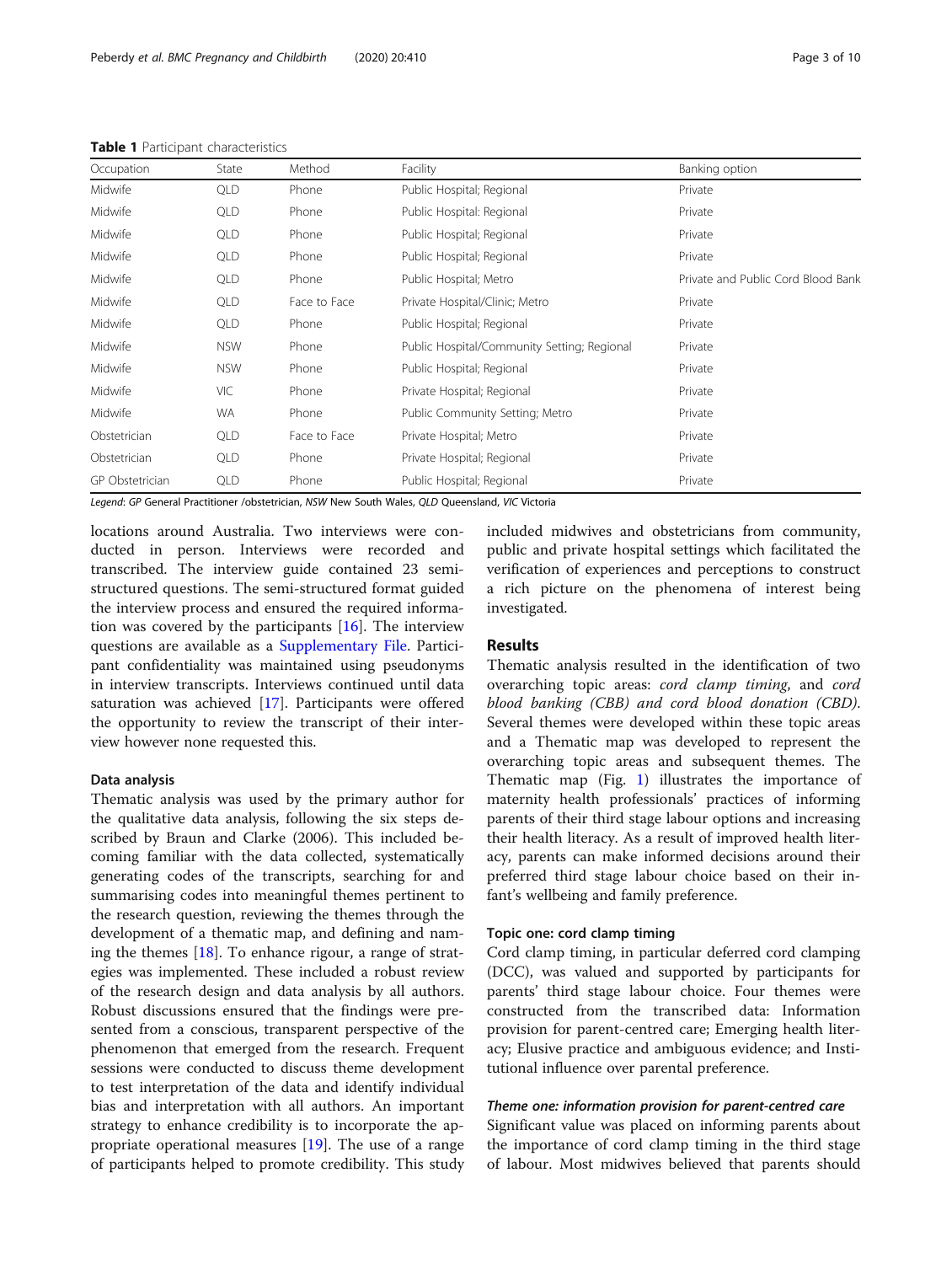#### <span id="page-2-0"></span>Table 1 Participant characteristics

| State      | Method       | Facility                                    | Banking option                     |
|------------|--------------|---------------------------------------------|------------------------------------|
| <b>QLD</b> | Phone        | Public Hospital; Regional                   | Private                            |
| <b>QLD</b> | Phone        | Public Hospital: Regional                   | Private                            |
| <b>QLD</b> | Phone        | Public Hospital; Regional                   | Private                            |
| <b>QLD</b> | Phone        | Public Hospital; Regional                   | Private                            |
| QLD        | Phone        | Public Hospital; Metro                      | Private and Public Cord Blood Bank |
| QLD        | Face to Face | Private Hospital/Clinic; Metro              | Private                            |
| <b>QLD</b> | Phone        | Public Hospital; Regional                   | Private                            |
| <b>NSW</b> | Phone        | Public Hospital/Community Setting; Regional | Private                            |
| <b>NSW</b> | Phone        | Public Hospital; Regional                   | Private                            |
| VIC        | Phone        | Private Hospital; Regional                  | Private                            |
| <b>WA</b>  | Phone        | Public Community Setting; Metro             | Private                            |
| QLD        | Face to Face | Private Hospital; Metro                     | Private                            |
| QLD        | Phone        | Private Hospital; Regional                  | Private                            |
| QLD        | Phone        | Public Hospital; Regional                   | Private                            |
|            |              |                                             |                                    |

Legend: GP General Practitioner /obstetrician, NSW New South Wales, QLD Queensland, VIC Victoria

locations around Australia. Two interviews were conducted in person. Interviews were recorded and transcribed. The interview guide contained 23 semistructured questions. The semi-structured format guided the interview process and ensured the required information was covered by the participants  $[16]$  $[16]$  $[16]$ . The interview questions are available as a [Supplementary File.](#page-8-0) Participant confidentiality was maintained using pseudonyms in interview transcripts. Interviews continued until data saturation was achieved [\[17](#page-8-0)]. Participants were offered the opportunity to review the transcript of their interview however none requested this.

#### Data analysis

Thematic analysis was used by the primary author for the qualitative data analysis, following the six steps described by Braun and Clarke (2006). This included becoming familiar with the data collected, systematically generating codes of the transcripts, searching for and summarising codes into meaningful themes pertinent to the research question, reviewing the themes through the development of a thematic map, and defining and naming the themes [\[18\]](#page-8-0). To enhance rigour, a range of strategies was implemented. These included a robust review of the research design and data analysis by all authors. Robust discussions ensured that the findings were presented from a conscious, transparent perspective of the phenomenon that emerged from the research. Frequent sessions were conducted to discuss theme development to test interpretation of the data and identify individual bias and interpretation with all authors. An important strategy to enhance credibility is to incorporate the appropriate operational measures  $[19]$  $[19]$ . The use of a range of participants helped to promote credibility. This study

included midwives and obstetricians from community, public and private hospital settings which facilitated the verification of experiences and perceptions to construct a rich picture on the phenomena of interest being investigated.

### Results

Thematic analysis resulted in the identification of two overarching topic areas: cord clamp timing, and cord blood banking (CBB) and cord blood donation (CBD). Several themes were developed within these topic areas and a Thematic map was developed to represent the overarching topic areas and subsequent themes. The Thematic map (Fig. [1](#page-3-0)) illustrates the importance of maternity health professionals' practices of informing parents of their third stage labour options and increasing their health literacy. As a result of improved health literacy, parents can make informed decisions around their preferred third stage labour choice based on their infant's wellbeing and family preference.

#### Topic one: cord clamp timing

Cord clamp timing, in particular deferred cord clamping (DCC), was valued and supported by participants for parents' third stage labour choice. Four themes were constructed from the transcribed data: Information provision for parent-centred care; Emerging health literacy; Elusive practice and ambiguous evidence; and Institutional influence over parental preference.

# Theme one: information provision for parent-centred care

Significant value was placed on informing parents about the importance of cord clamp timing in the third stage of labour. Most midwives believed that parents should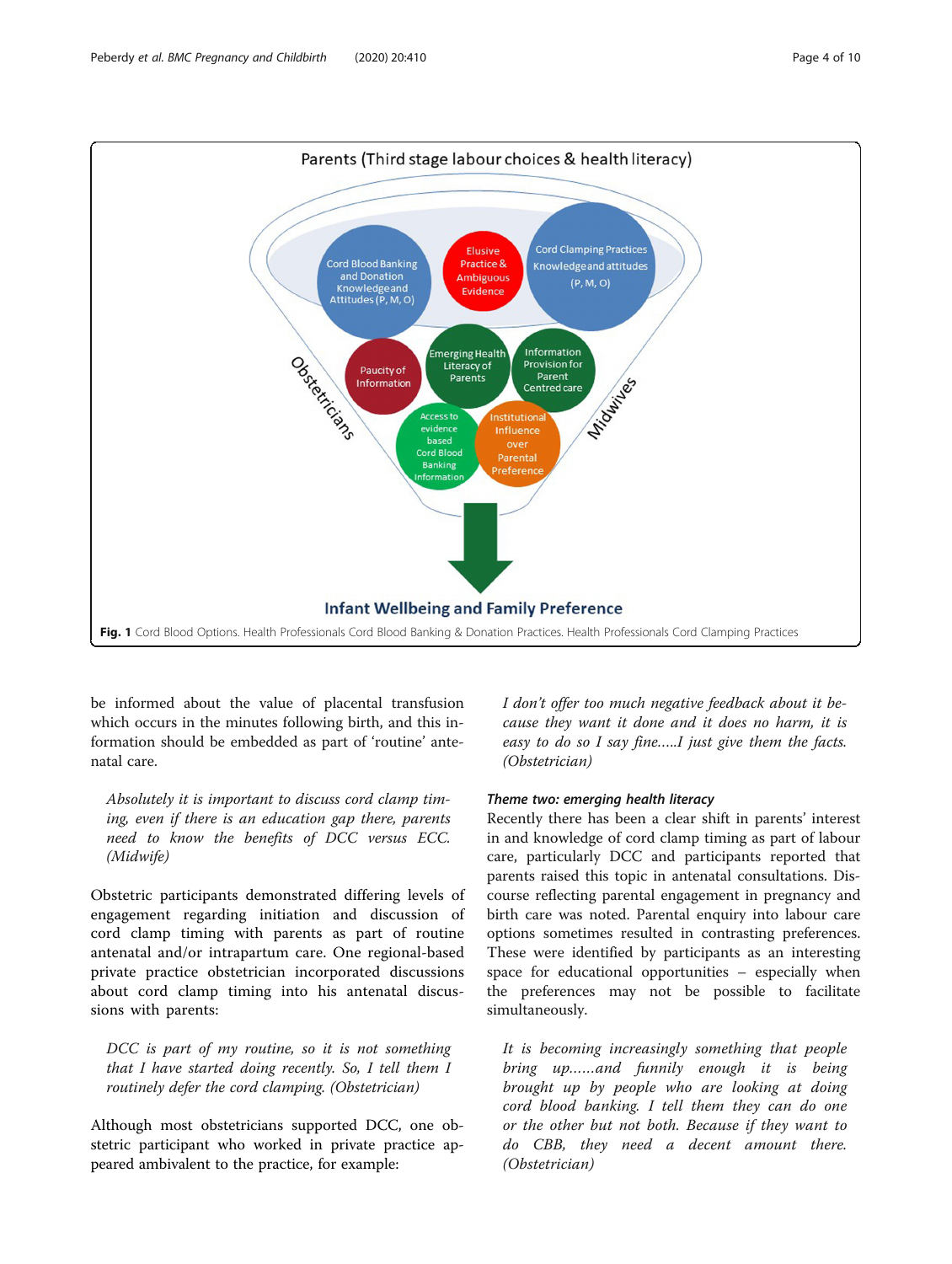<span id="page-3-0"></span>

be informed about the value of placental transfusion which occurs in the minutes following birth, and this information should be embedded as part of 'routine' antenatal care.

Absolutely it is important to discuss cord clamp timing, even if there is an education gap there, parents need to know the benefits of DCC versus ECC. (Midwife)

Obstetric participants demonstrated differing levels of engagement regarding initiation and discussion of cord clamp timing with parents as part of routine antenatal and/or intrapartum care. One regional-based private practice obstetrician incorporated discussions about cord clamp timing into his antenatal discussions with parents:

DCC is part of my routine, so it is not something that I have started doing recently. So, I tell them I routinely defer the cord clamping. (Obstetrician)

Although most obstetricians supported DCC, one obstetric participant who worked in private practice appeared ambivalent to the practice, for example:

I don't offer too much negative feedback about it because they want it done and it does no harm, it is easy to do so I say fine…..I just give them the facts. (Obstetrician)

#### Theme two: emerging health literacy

Recently there has been a clear shift in parents' interest in and knowledge of cord clamp timing as part of labour care, particularly DCC and participants reported that parents raised this topic in antenatal consultations. Discourse reflecting parental engagement in pregnancy and birth care was noted. Parental enquiry into labour care options sometimes resulted in contrasting preferences. These were identified by participants as an interesting space for educational opportunities – especially when the preferences may not be possible to facilitate simultaneously.

It is becoming increasingly something that people bring up……and funnily enough it is being brought up by people who are looking at doing cord blood banking. I tell them they can do one or the other but not both. Because if they want to do CBB, they need a decent amount there. (Obstetrician)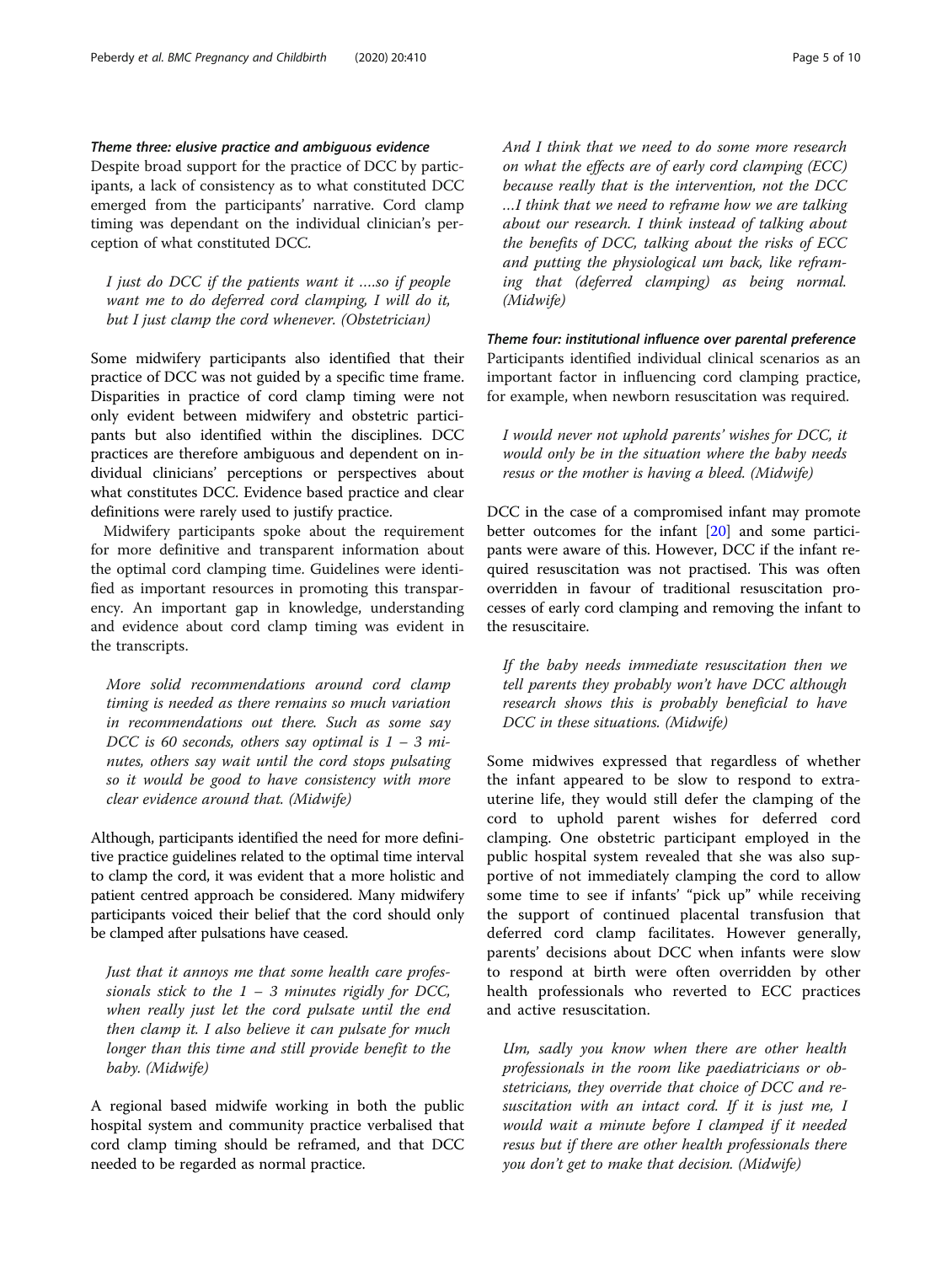# Theme three: elusive practice and ambiguous evidence

Despite broad support for the practice of DCC by participants, a lack of consistency as to what constituted DCC emerged from the participants' narrative. Cord clamp timing was dependant on the individual clinician's perception of what constituted DCC.

I just do DCC if the patients want it ….so if people want me to do deferred cord clamping, I will do it, but I just clamp the cord whenever. (Obstetrician)

Some midwifery participants also identified that their practice of DCC was not guided by a specific time frame. Disparities in practice of cord clamp timing were not only evident between midwifery and obstetric participants but also identified within the disciplines. DCC practices are therefore ambiguous and dependent on individual clinicians' perceptions or perspectives about what constitutes DCC. Evidence based practice and clear definitions were rarely used to justify practice.

Midwifery participants spoke about the requirement for more definitive and transparent information about the optimal cord clamping time. Guidelines were identified as important resources in promoting this transparency. An important gap in knowledge, understanding and evidence about cord clamp timing was evident in the transcripts.

More solid recommendations around cord clamp timing is needed as there remains so much variation in recommendations out there. Such as some say DCC is 60 seconds, others say optimal is  $1 - 3$  minutes, others say wait until the cord stops pulsating so it would be good to have consistency with more clear evidence around that. (Midwife)

Although, participants identified the need for more definitive practice guidelines related to the optimal time interval to clamp the cord, it was evident that a more holistic and patient centred approach be considered. Many midwifery participants voiced their belief that the cord should only be clamped after pulsations have ceased.

Just that it annoys me that some health care professionals stick to the  $1 - 3$  minutes rigidly for DCC, when really just let the cord pulsate until the end then clamp it. I also believe it can pulsate for much longer than this time and still provide benefit to the baby. (Midwife)

A regional based midwife working in both the public hospital system and community practice verbalised that cord clamp timing should be reframed, and that DCC needed to be regarded as normal practice.

And I think that we need to do some more research on what the effects are of early cord clamping (ECC) because really that is the intervention, not the DCC …I think that we need to reframe how we are talking about our research. I think instead of talking about the benefits of DCC, talking about the risks of ECC and putting the physiological um back, like reframing that (deferred clamping) as being normal. (Midwife)

Theme four: institutional influence over parental preference Participants identified individual clinical scenarios as an important factor in influencing cord clamping practice, for example, when newborn resuscitation was required.

I would never not uphold parents' wishes for DCC, it would only be in the situation where the baby needs resus or the mother is having a bleed. (Midwife)

DCC in the case of a compromised infant may promote better outcomes for the infant [[20](#page-8-0)] and some participants were aware of this. However, DCC if the infant required resuscitation was not practised. This was often overridden in favour of traditional resuscitation processes of early cord clamping and removing the infant to the resuscitaire.

If the baby needs immediate resuscitation then we tell parents they probably won't have DCC although research shows this is probably beneficial to have DCC in these situations. (Midwife)

Some midwives expressed that regardless of whether the infant appeared to be slow to respond to extrauterine life, they would still defer the clamping of the cord to uphold parent wishes for deferred cord clamping. One obstetric participant employed in the public hospital system revealed that she was also supportive of not immediately clamping the cord to allow some time to see if infants' "pick up" while receiving the support of continued placental transfusion that deferred cord clamp facilitates. However generally, parents' decisions about DCC when infants were slow to respond at birth were often overridden by other health professionals who reverted to ECC practices and active resuscitation.

Um, sadly you know when there are other health professionals in the room like paediatricians or obstetricians, they override that choice of DCC and resuscitation with an intact cord. If it is just me, I would wait a minute before I clamped if it needed resus but if there are other health professionals there you don't get to make that decision. (Midwife)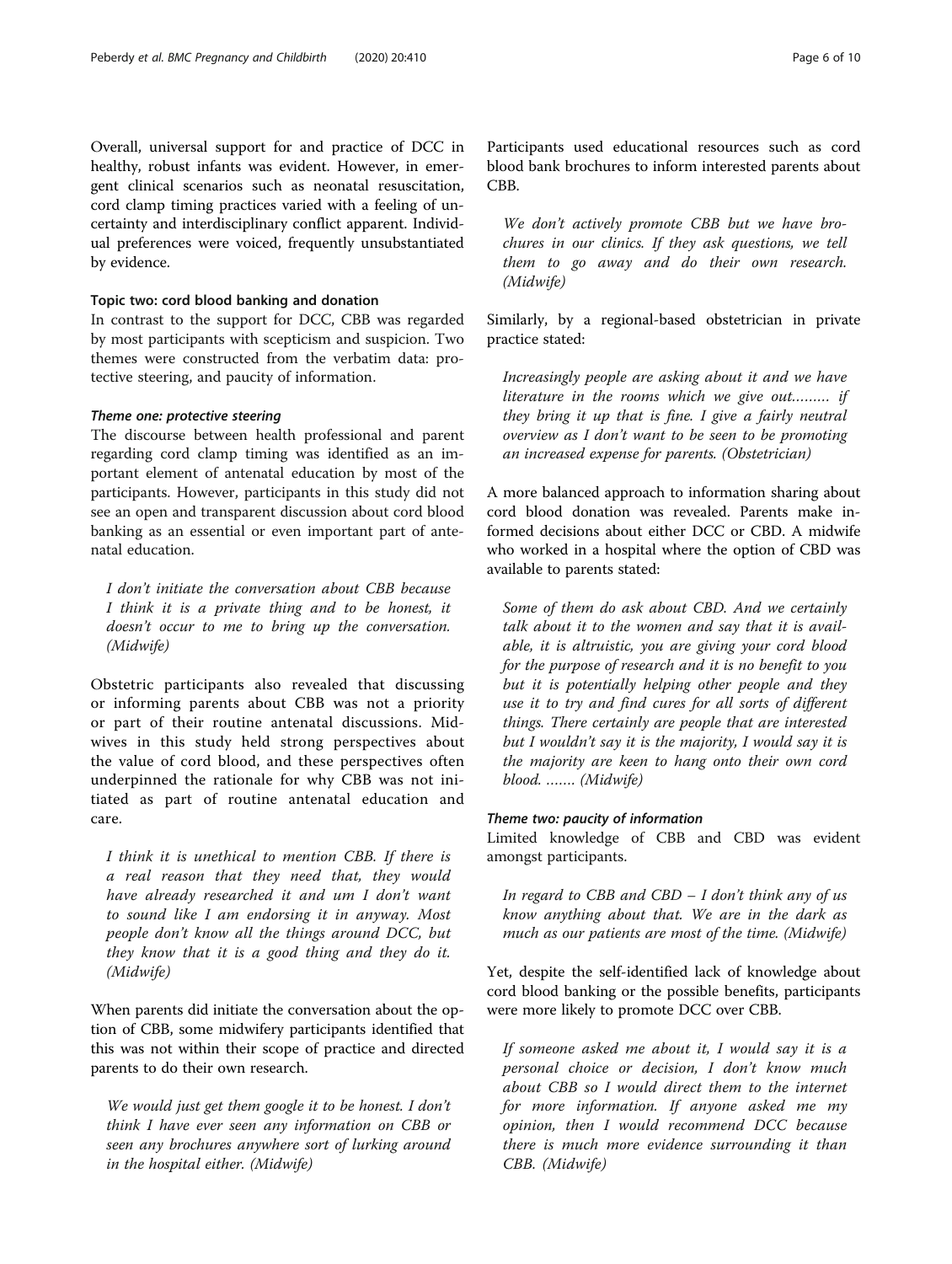Overall, universal support for and practice of DCC in healthy, robust infants was evident. However, in emergent clinical scenarios such as neonatal resuscitation, cord clamp timing practices varied with a feeling of uncertainty and interdisciplinary conflict apparent. Individual preferences were voiced, frequently unsubstantiated by evidence.

#### Topic two: cord blood banking and donation

In contrast to the support for DCC, CBB was regarded by most participants with scepticism and suspicion. Two themes were constructed from the verbatim data: protective steering, and paucity of information.

#### Theme one: protective steering

The discourse between health professional and parent regarding cord clamp timing was identified as an important element of antenatal education by most of the participants. However, participants in this study did not see an open and transparent discussion about cord blood banking as an essential or even important part of antenatal education.

I don't initiate the conversation about CBB because I think it is a private thing and to be honest, it doesn't occur to me to bring up the conversation. (Midwife)

Obstetric participants also revealed that discussing or informing parents about CBB was not a priority or part of their routine antenatal discussions. Midwives in this study held strong perspectives about the value of cord blood, and these perspectives often underpinned the rationale for why CBB was not initiated as part of routine antenatal education and care.

I think it is unethical to mention CBB. If there is a real reason that they need that, they would have already researched it and um I don't want to sound like I am endorsing it in anyway. Most people don't know all the things around DCC, but they know that it is a good thing and they do it. (Midwife)

When parents did initiate the conversation about the option of CBB, some midwifery participants identified that this was not within their scope of practice and directed parents to do their own research.

We would just get them google it to be honest. I don't think I have ever seen any information on CBB or seen any brochures anywhere sort of lurking around in the hospital either. (Midwife)

Participants used educational resources such as cord blood bank brochures to inform interested parents about CBB.

We don't actively promote CBB but we have brochures in our clinics. If they ask questions, we tell them to go away and do their own research. (Midwife)

Similarly, by a regional-based obstetrician in private practice stated:

Increasingly people are asking about it and we have literature in the rooms which we give out……… if they bring it up that is fine. I give a fairly neutral overview as I don't want to be seen to be promoting an increased expense for parents. (Obstetrician)

A more balanced approach to information sharing about cord blood donation was revealed. Parents make informed decisions about either DCC or CBD. A midwife who worked in a hospital where the option of CBD was available to parents stated:

Some of them do ask about CBD. And we certainly talk about it to the women and say that it is available, it is altruistic, you are giving your cord blood for the purpose of research and it is no benefit to you but it is potentially helping other people and they use it to try and find cures for all sorts of different things. There certainly are people that are interested but I wouldn't say it is the majority, I would say it is the majority are keen to hang onto their own cord blood. ……. (Midwife)

# Theme two: paucity of information

Limited knowledge of CBB and CBD was evident amongst participants.

In regard to CBB and CBD  $- I$  don't think any of us know anything about that. We are in the dark as much as our patients are most of the time. (Midwife)

Yet, despite the self-identified lack of knowledge about cord blood banking or the possible benefits, participants were more likely to promote DCC over CBB.

If someone asked me about it, I would say it is a personal choice or decision, I don't know much about CBB so I would direct them to the internet for more information. If anyone asked me my opinion, then I would recommend DCC because there is much more evidence surrounding it than CBB. (Midwife)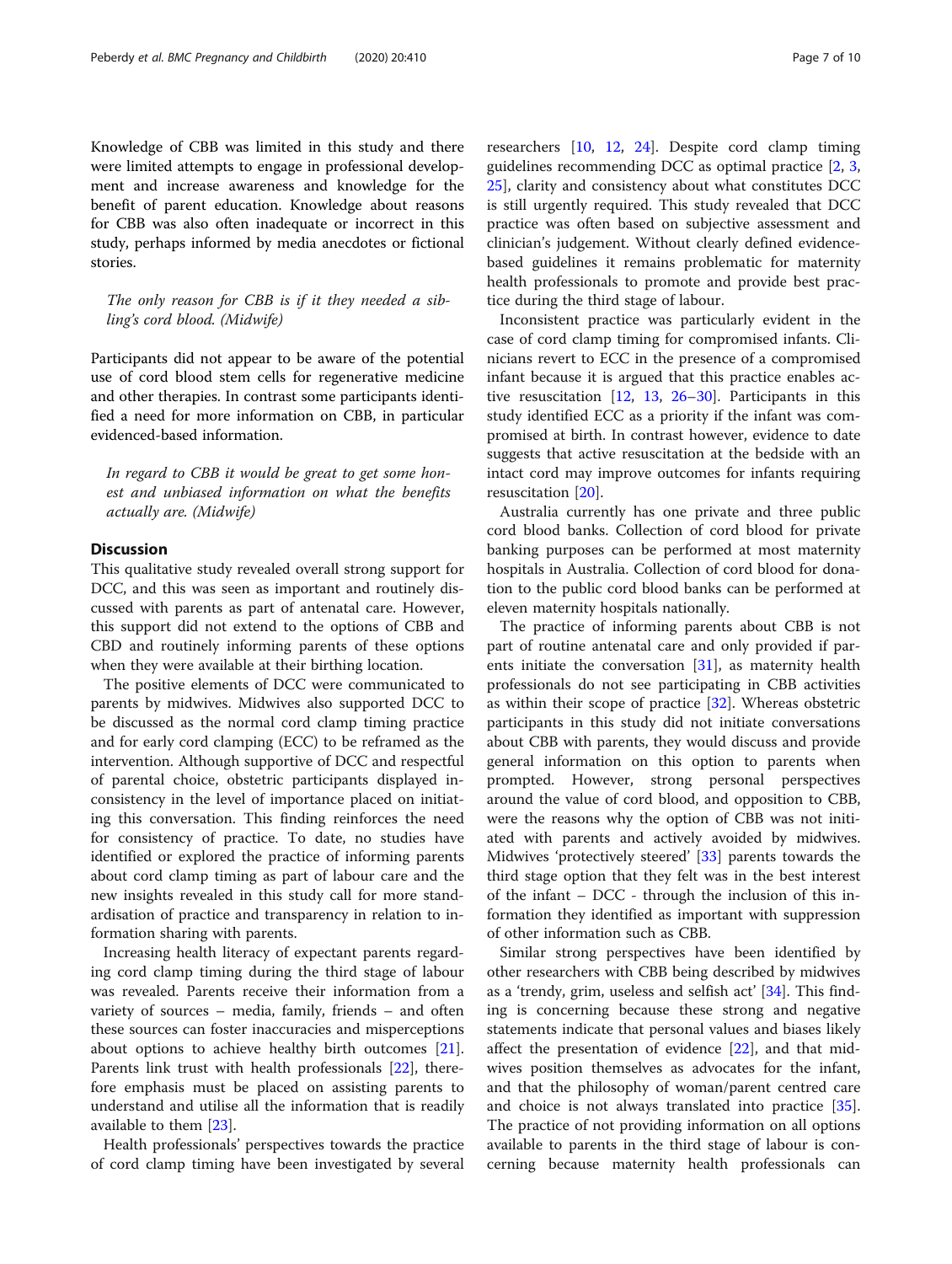Knowledge of CBB was limited in this study and there were limited attempts to engage in professional development and increase awareness and knowledge for the benefit of parent education. Knowledge about reasons for CBB was also often inadequate or incorrect in this study, perhaps informed by media anecdotes or fictional stories.

The only reason for CBB is if it they needed a sibling's cord blood. (Midwife)

Participants did not appear to be aware of the potential use of cord blood stem cells for regenerative medicine and other therapies. In contrast some participants identified a need for more information on CBB, in particular evidenced-based information.

In regard to CBB it would be great to get some honest and unbiased information on what the benefits actually are. (Midwife)

# **Discussion**

This qualitative study revealed overall strong support for DCC, and this was seen as important and routinely discussed with parents as part of antenatal care. However, this support did not extend to the options of CBB and CBD and routinely informing parents of these options when they were available at their birthing location.

The positive elements of DCC were communicated to parents by midwives. Midwives also supported DCC to be discussed as the normal cord clamp timing practice and for early cord clamping (ECC) to be reframed as the intervention. Although supportive of DCC and respectful of parental choice, obstetric participants displayed inconsistency in the level of importance placed on initiating this conversation. This finding reinforces the need for consistency of practice. To date, no studies have identified or explored the practice of informing parents about cord clamp timing as part of labour care and the new insights revealed in this study call for more standardisation of practice and transparency in relation to information sharing with parents.

Increasing health literacy of expectant parents regarding cord clamp timing during the third stage of labour was revealed. Parents receive their information from a variety of sources – media, family, friends – and often these sources can foster inaccuracies and misperceptions about options to achieve healthy birth outcomes [\[21](#page-8-0)]. Parents link trust with health professionals [[22](#page-8-0)], therefore emphasis must be placed on assisting parents to understand and utilise all the information that is readily available to them [[23\]](#page-8-0).

Health professionals' perspectives towards the practice of cord clamp timing have been investigated by several

researchers [\[10](#page-8-0), [12,](#page-8-0) [24\]](#page-8-0). Despite cord clamp timing guidelines recommending DCC as optimal practice [\[2](#page-8-0), [3](#page-8-0), [25\]](#page-9-0), clarity and consistency about what constitutes DCC is still urgently required. This study revealed that DCC practice was often based on subjective assessment and clinician's judgement. Without clearly defined evidencebased guidelines it remains problematic for maternity health professionals to promote and provide best practice during the third stage of labour.

Inconsistent practice was particularly evident in the case of cord clamp timing for compromised infants. Clinicians revert to ECC in the presence of a compromised infant because it is argued that this practice enables active resuscitation  $[12, 13, 26-30]$  $[12, 13, 26-30]$  $[12, 13, 26-30]$  $[12, 13, 26-30]$  $[12, 13, 26-30]$  $[12, 13, 26-30]$  $[12, 13, 26-30]$ . Participants in this study identified ECC as a priority if the infant was compromised at birth. In contrast however, evidence to date suggests that active resuscitation at the bedside with an intact cord may improve outcomes for infants requiring resuscitation [[20](#page-8-0)].

Australia currently has one private and three public cord blood banks. Collection of cord blood for private banking purposes can be performed at most maternity hospitals in Australia. Collection of cord blood for donation to the public cord blood banks can be performed at eleven maternity hospitals nationally.

The practice of informing parents about CBB is not part of routine antenatal care and only provided if parents initiate the conversation [[31](#page-9-0)], as maternity health professionals do not see participating in CBB activities as within their scope of practice [\[32\]](#page-9-0). Whereas obstetric participants in this study did not initiate conversations about CBB with parents, they would discuss and provide general information on this option to parents when prompted. However, strong personal perspectives around the value of cord blood, and opposition to CBB, were the reasons why the option of CBB was not initiated with parents and actively avoided by midwives. Midwives 'protectively steered' [[33\]](#page-9-0) parents towards the third stage option that they felt was in the best interest of the infant – DCC - through the inclusion of this information they identified as important with suppression of other information such as CBB.

Similar strong perspectives have been identified by other researchers with CBB being described by midwives as a 'trendy, grim, useless and selfish act' [\[34](#page-9-0)]. This finding is concerning because these strong and negative statements indicate that personal values and biases likely affect the presentation of evidence [\[22](#page-8-0)], and that midwives position themselves as advocates for the infant, and that the philosophy of woman/parent centred care and choice is not always translated into practice [\[35](#page-9-0)]. The practice of not providing information on all options available to parents in the third stage of labour is concerning because maternity health professionals can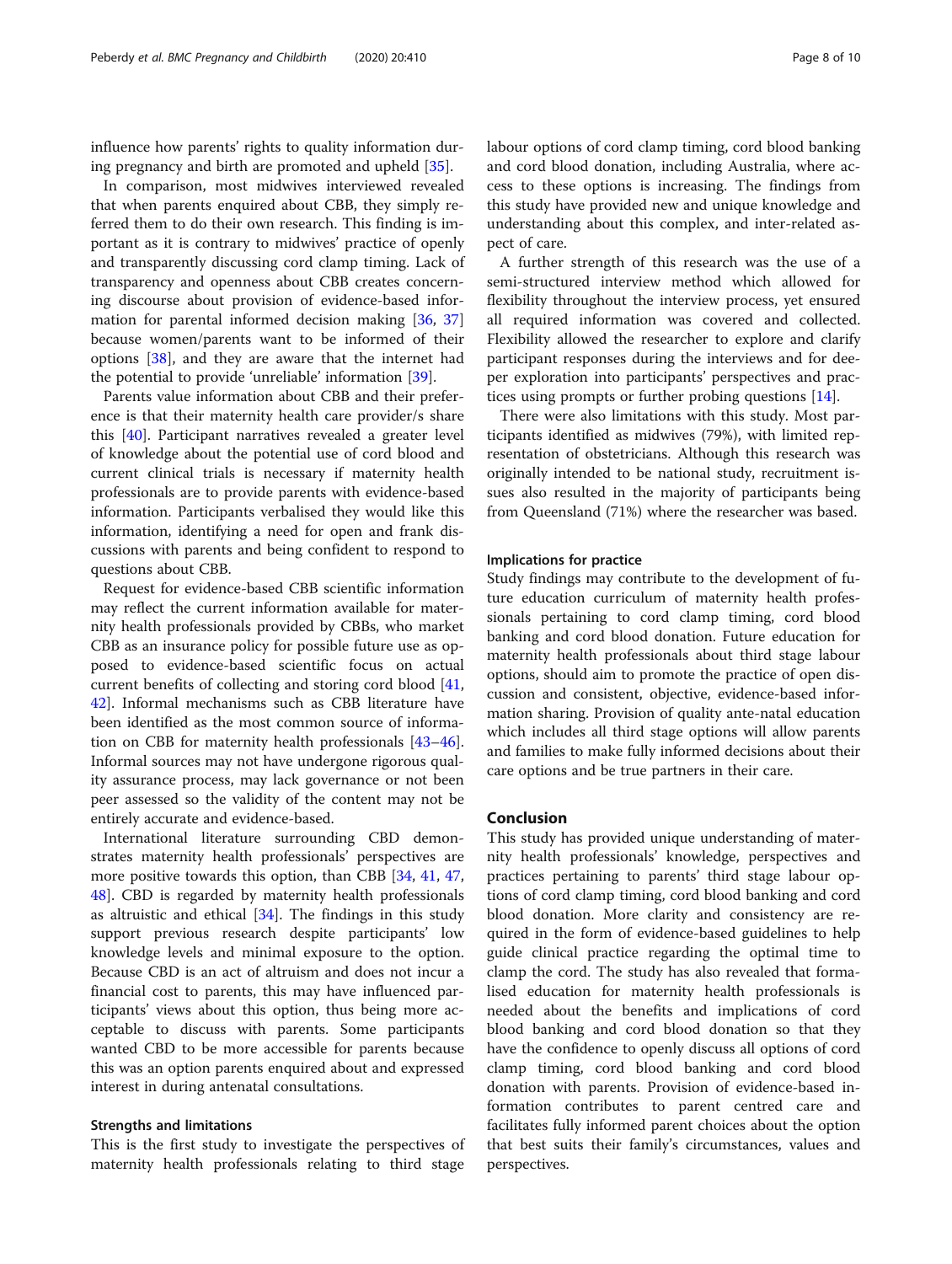influence how parents' rights to quality information during pregnancy and birth are promoted and upheld [[35](#page-9-0)].

In comparison, most midwives interviewed revealed that when parents enquired about CBB, they simply referred them to do their own research. This finding is important as it is contrary to midwives' practice of openly and transparently discussing cord clamp timing. Lack of transparency and openness about CBB creates concerning discourse about provision of evidence-based information for parental informed decision making [\[36,](#page-9-0) [37](#page-9-0)] because women/parents want to be informed of their options [[38\]](#page-9-0), and they are aware that the internet had the potential to provide 'unreliable' information [\[39\]](#page-9-0).

Parents value information about CBB and their preference is that their maternity health care provider/s share this [\[40](#page-9-0)]. Participant narratives revealed a greater level of knowledge about the potential use of cord blood and current clinical trials is necessary if maternity health professionals are to provide parents with evidence-based information. Participants verbalised they would like this information, identifying a need for open and frank discussions with parents and being confident to respond to questions about CBB.

Request for evidence-based CBB scientific information may reflect the current information available for maternity health professionals provided by CBBs, who market CBB as an insurance policy for possible future use as opposed to evidence-based scientific focus on actual current benefits of collecting and storing cord blood [[41](#page-9-0), [42\]](#page-9-0). Informal mechanisms such as CBB literature have been identified as the most common source of information on CBB for maternity health professionals [[43](#page-9-0)–[46](#page-9-0)]. Informal sources may not have undergone rigorous quality assurance process, may lack governance or not been peer assessed so the validity of the content may not be entirely accurate and evidence-based.

International literature surrounding CBD demonstrates maternity health professionals' perspectives are more positive towards this option, than CBB [\[34,](#page-9-0) [41](#page-9-0), [47](#page-9-0), [48\]](#page-9-0). CBD is regarded by maternity health professionals as altruistic and ethical [[34](#page-9-0)]. The findings in this study support previous research despite participants' low knowledge levels and minimal exposure to the option. Because CBD is an act of altruism and does not incur a financial cost to parents, this may have influenced participants' views about this option, thus being more acceptable to discuss with parents. Some participants wanted CBD to be more accessible for parents because this was an option parents enquired about and expressed interest in during antenatal consultations.

#### Strengths and limitations

This is the first study to investigate the perspectives of maternity health professionals relating to third stage labour options of cord clamp timing, cord blood banking and cord blood donation, including Australia, where access to these options is increasing. The findings from this study have provided new and unique knowledge and understanding about this complex, and inter-related aspect of care.

A further strength of this research was the use of a semi-structured interview method which allowed for flexibility throughout the interview process, yet ensured all required information was covered and collected. Flexibility allowed the researcher to explore and clarify participant responses during the interviews and for deeper exploration into participants' perspectives and practices using prompts or further probing questions [[14](#page-8-0)].

There were also limitations with this study. Most participants identified as midwives (79%), with limited representation of obstetricians. Although this research was originally intended to be national study, recruitment issues also resulted in the majority of participants being from Queensland (71%) where the researcher was based.

#### Implications for practice

Study findings may contribute to the development of future education curriculum of maternity health professionals pertaining to cord clamp timing, cord blood banking and cord blood donation. Future education for maternity health professionals about third stage labour options, should aim to promote the practice of open discussion and consistent, objective, evidence-based information sharing. Provision of quality ante-natal education which includes all third stage options will allow parents and families to make fully informed decisions about their care options and be true partners in their care.

# Conclusion

This study has provided unique understanding of maternity health professionals' knowledge, perspectives and practices pertaining to parents' third stage labour options of cord clamp timing, cord blood banking and cord blood donation. More clarity and consistency are required in the form of evidence-based guidelines to help guide clinical practice regarding the optimal time to clamp the cord. The study has also revealed that formalised education for maternity health professionals is needed about the benefits and implications of cord blood banking and cord blood donation so that they have the confidence to openly discuss all options of cord clamp timing, cord blood banking and cord blood donation with parents. Provision of evidence-based information contributes to parent centred care and facilitates fully informed parent choices about the option that best suits their family's circumstances, values and perspectives.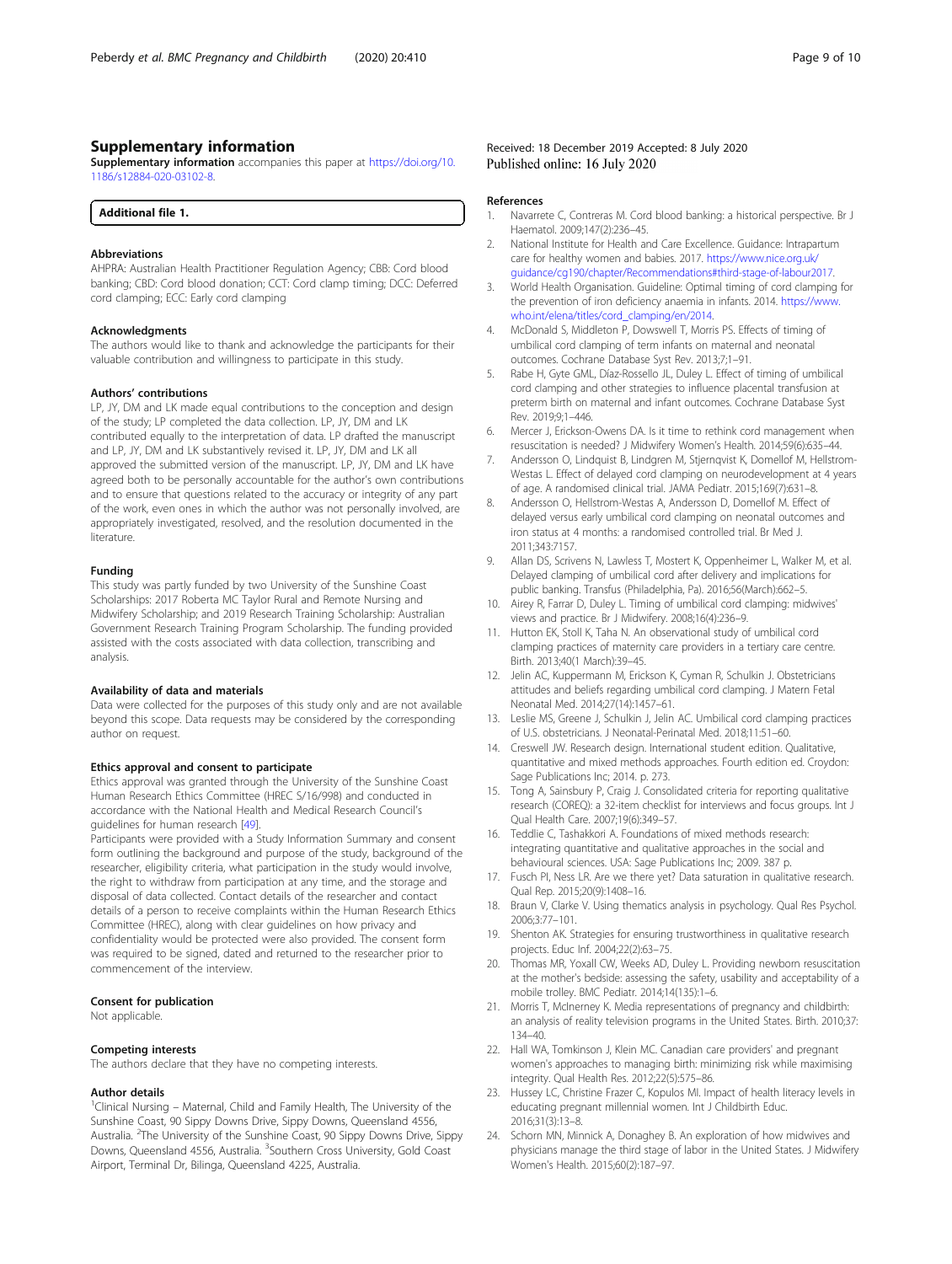# <span id="page-8-0"></span>Supplementary information

Supplementary information accompanies this paper at [https://doi.org/10.](https://doi.org/10.1186/s12884-020-03102-8) [1186/s12884-020-03102-8](https://doi.org/10.1186/s12884-020-03102-8).

| Additional file 1. |  |
|--------------------|--|
|--------------------|--|

#### Abbreviations

AHPRA: Australian Health Practitioner Regulation Agency; CBB: Cord blood banking; CBD: Cord blood donation; CCT: Cord clamp timing; DCC: Deferred cord clamping; ECC: Early cord clamping

#### Acknowledgments

The authors would like to thank and acknowledge the participants for their valuable contribution and willingness to participate in this study.

#### Authors' contributions

LP, JY, DM and LK made equal contributions to the conception and design of the study; LP completed the data collection. LP, JY, DM and LK contributed equally to the interpretation of data. LP drafted the manuscript and LP, JY, DM and LK substantively revised it. LP, JY, DM and LK all approved the submitted version of the manuscript. LP, JY, DM and LK have agreed both to be personally accountable for the author's own contributions and to ensure that questions related to the accuracy or integrity of any part of the work, even ones in which the author was not personally involved, are appropriately investigated, resolved, and the resolution documented in the literature.

#### Funding

This study was partly funded by two University of the Sunshine Coast Scholarships: 2017 Roberta MC Taylor Rural and Remote Nursing and Midwifery Scholarship; and 2019 Research Training Scholarship: Australian Government Research Training Program Scholarship. The funding provided assisted with the costs associated with data collection, transcribing and analysis.

#### Availability of data and materials

Data were collected for the purposes of this study only and are not available beyond this scope. Data requests may be considered by the corresponding author on request.

#### Ethics approval and consent to participate

Ethics approval was granted through the University of the Sunshine Coast Human Research Ethics Committee (HREC S/16/998) and conducted in accordance with the National Health and Medical Research Council's guidelines for human research [[49\]](#page-9-0).

Participants were provided with a Study Information Summary and consent form outlining the background and purpose of the study, background of the researcher, eligibility criteria, what participation in the study would involve, the right to withdraw from participation at any time, and the storage and disposal of data collected. Contact details of the researcher and contact details of a person to receive complaints within the Human Research Ethics Committee (HREC), along with clear guidelines on how privacy and confidentiality would be protected were also provided. The consent form was required to be signed, dated and returned to the researcher prior to commencement of the interview.

#### Consent for publication

Not applicable.

#### Competing interests

The authors declare that they have no competing interests.

#### Author details

<sup>1</sup>Clinical Nursing - Maternal, Child and Family Health, The University of the Sunshine Coast, 90 Sippy Downs Drive, Sippy Downs, Queensland 4556, Australia. <sup>2</sup>The University of the Sunshine Coast, 90 Sippy Downs Drive, Sippy Downs, Queensland 4556, Australia. <sup>3</sup>Southern Cross University, Gold Coast Airport, Terminal Dr, Bilinga, Queensland 4225, Australia.

#### Received: 18 December 2019 Accepted: 8 July 2020 Published online: 16 July 2020

#### References

- 1. Navarrete C, Contreras M. Cord blood banking: a historical perspective. Br J Haematol. 2009;147(2):236–45.
- 2. National Institute for Health and Care Excellence. Guidance: Intrapartum care for healthy women and babies. 2017. [https://www.nice.org.uk/](https://www.nice.org.uk/guidance/cg190/chapter/Recommendations#third-stage-of-labour2017) [guidance/cg190/chapter/Recommendations#third-stage-of-labour2017](https://www.nice.org.uk/guidance/cg190/chapter/Recommendations#third-stage-of-labour2017).
- 3. World Health Organisation. Guideline: Optimal timing of cord clamping for the prevention of iron deficiency anaemia in infants. 2014. [https://www.](https://www.who.int/elena/titles/cord_clamping/en/2014) [who.int/elena/titles/cord\\_clamping/en/2014.](https://www.who.int/elena/titles/cord_clamping/en/2014)
- 4. McDonald S, Middleton P, Dowswell T, Morris PS. Effects of timing of umbilical cord clamping of term infants on maternal and neonatal outcomes. Cochrane Database Syst Rev. 2013;7;1–91.
- 5. Rabe H, Gyte GML, Díaz-Rossello JL, Duley L. Effect of timing of umbilical cord clamping and other strategies to influence placental transfusion at preterm birth on maternal and infant outcomes. Cochrane Database Syst Rev. 2019;9;1–446.
- 6. Mercer J, Erickson-Owens DA. Is it time to rethink cord management when resuscitation is needed? J Midwifery Women's Health. 2014;59(6):635–44.
- 7. Andersson O, Lindquist B, Lindgren M, Stjernqvist K, Domellof M, Hellstrom-Westas L. Effect of delayed cord clamping on neurodevelopment at 4 years of age. A randomised clinical trial. JAMA Pediatr. 2015;169(7):631–8.
- 8. Andersson O, Hellstrom-Westas A, Andersson D, Domellof M. Effect of delayed versus early umbilical cord clamping on neonatal outcomes and iron status at 4 months: a randomised controlled trial. Br Med J. 2011;343:7157.
- 9. Allan DS, Scrivens N, Lawless T, Mostert K, Oppenheimer L, Walker M, et al. Delayed clamping of umbilical cord after delivery and implications for public banking. Transfus (Philadelphia, Pa). 2016;56(March):662–5.
- 10. Airey R, Farrar D, Duley L. Timing of umbilical cord clamping: midwives' views and practice. Br J Midwifery. 2008;16(4):236–9.
- 11. Hutton EK, Stoll K, Taha N. An observational study of umbilical cord clamping practices of maternity care providers in a tertiary care centre. Birth. 2013;40(1 March):39–45.
- 12. Jelin AC, Kuppermann M, Erickson K, Cyman R, Schulkin J. Obstetricians attitudes and beliefs regarding umbilical cord clamping. J Matern Fetal Neonatal Med. 2014;27(14):1457–61.
- 13. Leslie MS, Greene J, Schulkin J, Jelin AC. Umbilical cord clamping practices of U.S. obstetricians. J Neonatal-Perinatal Med. 2018;11:51–60.
- 14. Creswell JW. Research design. International student edition. Qualitative, quantitative and mixed methods approaches. Fourth edition ed. Croydon: Sage Publications Inc; 2014. p. 273.
- 15. Tong A, Sainsbury P, Craig J. Consolidated criteria for reporting qualitative research (COREQ): a 32-item checklist for interviews and focus groups. Int J Qual Health Care. 2007;19(6):349–57.
- 16. Teddlie C, Tashakkori A. Foundations of mixed methods research: integrating quantitative and qualitative approaches in the social and behavioural sciences. USA: Sage Publications Inc; 2009. 387 p.
- 17. Fusch PI, Ness LR. Are we there yet? Data saturation in qualitative research. Qual Rep. 2015;20(9):1408–16.
- 18. Braun V, Clarke V. Using thematics analysis in psychology. Qual Res Psychol. 2006;3:77–101.
- 19. Shenton AK. Strategies for ensuring trustworthiness in qualitative research projects. Educ Inf. 2004;22(2):63–75.
- 20. Thomas MR, Yoxall CW, Weeks AD, Duley L. Providing newborn resuscitation at the mother's bedside: assessing the safety, usability and acceptability of a mobile trolley. BMC Pediatr. 2014;14(135):1–6.
- 21. Morris T, McInerney K. Media representations of pregnancy and childbirth: an analysis of reality television programs in the United States. Birth. 2010;37: 134–40.
- 22. Hall WA, Tomkinson J, Klein MC. Canadian care providers' and pregnant women's approaches to managing birth: minimizing risk while maximising integrity. Qual Health Res. 2012;22(5):575–86.
- 23. Hussey LC, Christine Frazer C, Kopulos MI. Impact of health literacy levels in educating pregnant millennial women. Int J Childbirth Educ. 2016;31(3):13–8.
- 24. Schorn MN, Minnick A, Donaghey B. An exploration of how midwives and physicians manage the third stage of labor in the United States. J Midwifery Women's Health. 2015;60(2):187–97.